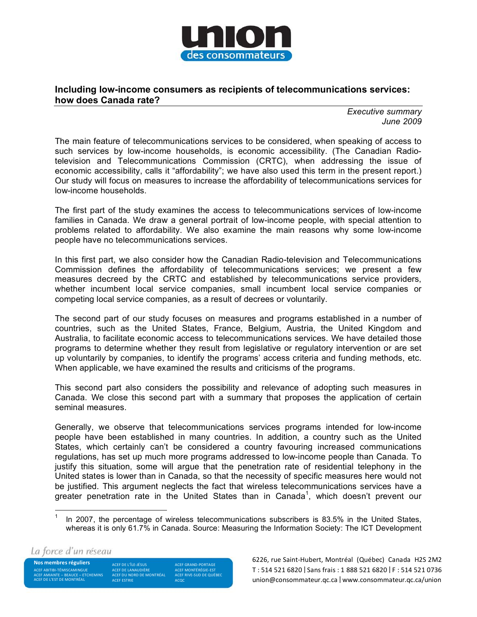

## Including low-income consumers as recipients of telecommunications services: how does Canada rate?

**Executive summary** June 2009

The main feature of telecommunications services to be considered, when speaking of access to such services by low-income households, is economic accessibility. (The Canadian Radiotelevision and Telecommunications Commission (CRTC), when addressing the issue of economic accessibility, calls it "affordability"; we have also used this term in the present report.) Our study will focus on measures to increase the affordability of telecommunications services for low-income households.

The first part of the study examines the access to telecommunications services of low-income families in Canada. We draw a general portrait of low-income people, with special attention to problems related to affordability. We also examine the main reasons why some low-income people have no telecommunications services.

In this first part, we also consider how the Canadian Radio-television and Telecommunications Commission defines the affordability of telecommunications services; we present a few measures decreed by the CRTC and established by telecommunications service providers, whether incumbent local service companies, small incumbent local service companies or competing local service companies, as a result of decrees or voluntarily.

The second part of our study focuses on measures and programs established in a number of countries, such as the United States, France, Belgium, Austria, the United Kingdom and Australia, to facilitate economic access to telecommunications services. We have detailed those programs to determine whether they result from legislative or regulatory intervention or are set up voluntarily by companies, to identify the programs' access criteria and funding methods, etc. When applicable, we have examined the results and criticisms of the programs.

This second part also considers the possibility and relevance of adopting such measures in Canada. We close this second part with a summary that proposes the application of certain seminal measures.

Generally, we observe that telecommunications services programs intended for low-income people have been established in many countries. In addition, a country such as the United States, which certainly can't be considered a country favouring increased communications regulations, has set up much more programs addressed to low-income people than Canada. To justify this situation, some will argue that the penetration rate of residential telephony in the United states is lower than in Canada, so that the necessity of specific measures here would not be justified. This argument neglects the fact that wireless telecommunications services have a greater penetration rate in the United States than in Canada<sup>1</sup>, which doesn't prevent our

La force d'un réseau

Nos membres réguliers ACEF ABITIBI-TÉMISCAMINGUE ACEF AMIANTE – BEAUCE – ETCHEMINS<br>ACEF DE L'EST DE MONTRÉAL

ACEF DE L'ÎLE-JÉSUS ACEF DE LANAUDIÈRE ACEF DU NORD DE MONTRÉAL

ACEF GRAND-PORTAGE ACEF MONTÉRÉGIE-EST ACEF RIVE-SUD DE QUÉBEC ACQC

6226, rue Saint-Hubert, Montréal (Québec) Canada H2S 2M2 T: 514 521 6820 | Sans frais: 1 888 521 6820 | F: 514 521 0736 union@consommateur.gc.ca | www.consommateur.gc.ca/union

 $\mathbf{1}$ In 2007, the percentage of wireless telecommunications subscribers is 83.5% in the United States, whereas it is only 61.7% in Canada. Source: Measuring the Information Society: The ICT Development